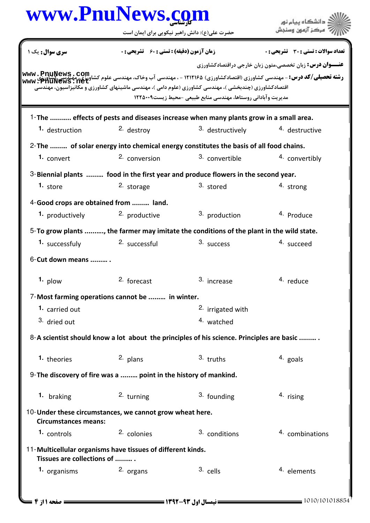|                                       | www.PnuNews.com                                                                                      |                                                               | دانشگاه بیام نور                                                                                                                                                             |
|---------------------------------------|------------------------------------------------------------------------------------------------------|---------------------------------------------------------------|------------------------------------------------------------------------------------------------------------------------------------------------------------------------------|
|                                       | حضرت علی(ع): دانش راهبر نیکویی برای ایمان است                                                        |                                                               | ُ ' مرڪز آزمون وسنڊش                                                                                                                                                         |
| <b>سری سوال :</b> یک ۱                | <b>زمان آزمون (دقیقه) : تستی : 60 ٪ تشریحی : 0</b>                                                   |                                                               | تعداد سوالات : تستي : 30 - تشريحي : 0                                                                                                                                        |
|                                       |                                                                                                      |                                                               | <b>عنـــوان درس:</b> زبان تخصصي،متون زبان خارجي دراقتصادكشاورزي                                                                                                              |
|                                       |                                                                                                      |                                                               | ر <b>شته تحصیلی/کد درس:</b> - مهندسی کشاورزی (اقتصادکشاورزی) ۱۲۱۲۱۶۵ - ، مهندسی آب وخاک، مهندسی علوم کشاوتی توسیقی کلوتی<br>  www : PhulNews : net<br>  www : PhulNews : net |
|                                       | اقتصادکشاورزی (چندبخشی )، مهندسی کشاورزی (علوم دامی )، مهندسی ماشینهای کشاورزی و مکانیزاسیون، مهندسی | مدیریت وآبادانی روستاها، مهندسی منابع طبیعی -محیط زیست۱۲۲۵۰۰۹ |                                                                                                                                                                              |
|                                       |                                                                                                      |                                                               |                                                                                                                                                                              |
|                                       | 1-The  effects of pests and diseases increase when many plants grow in a small area.                 |                                                               |                                                                                                                                                                              |
| 1. destruction                        | 2. destroy                                                                                           | 3. destructively                                              | 4. destructive                                                                                                                                                               |
|                                       | 2- The  of solar energy into chemical energy constitutes the basis of all food chains.               |                                                               |                                                                                                                                                                              |
| 1. convert                            | 2. conversion                                                                                        | 3. convertible                                                | 4. convertibly                                                                                                                                                               |
|                                       | 3-Biennial plants  food in the first year and produce flowers in the second year.                    |                                                               |                                                                                                                                                                              |
| 1. store                              | 2. storage                                                                                           | 3. stored                                                     | 4. strong                                                                                                                                                                    |
| 4-Good crops are obtained from  land. |                                                                                                      |                                                               |                                                                                                                                                                              |
| 1. productively                       | 2. productive                                                                                        | 3. production                                                 | <sup>4.</sup> Produce                                                                                                                                                        |
|                                       | 5-To grow plants , the farmer may imitate the conditions of the plant in the wild state.             |                                                               |                                                                                                                                                                              |
| 1. successfuly 2. successful          |                                                                                                      | 3. success                                                    | 4. succeed                                                                                                                                                                   |
| 6-Cut down means                      |                                                                                                      |                                                               |                                                                                                                                                                              |
| 1. plow                               | <sup>2.</sup> forecast                                                                               | 3. increase                                                   | <sup>4.</sup> reduce                                                                                                                                                         |
|                                       | 7-Most farming operations cannot be  in winter.                                                      |                                                               |                                                                                                                                                                              |
| 1. carried out                        |                                                                                                      | 2. irrigated with                                             |                                                                                                                                                                              |
| 3. dried out                          |                                                                                                      | 4. watched                                                    |                                                                                                                                                                              |
|                                       | 8-A scientist should know a lot about the principles of his science. Principles are basic            |                                                               |                                                                                                                                                                              |
| 1. theories                           | 2. plans                                                                                             | $3.$ truths                                                   | 4. goals                                                                                                                                                                     |
|                                       | 9- The discovery of fire was a  point in the history of mankind.                                     |                                                               |                                                                                                                                                                              |
| 1. braking                            | 2. turning                                                                                           | 3. founding                                                   | 4. rising                                                                                                                                                                    |
| <b>Circumstances means:</b>           | 10-Under these circumstances, we cannot grow wheat here.                                             |                                                               |                                                                                                                                                                              |
| 1. controls                           | 2. colonies                                                                                          | 3. conditions                                                 | 4. combinations                                                                                                                                                              |
| Tissues are collections of            | 11-Multicellular organisms have tissues of different kinds.                                          |                                                               |                                                                                                                                                                              |
| 1. organisms                          | 2. organs                                                                                            | 3. cells                                                      | <sup>4.</sup> elements                                                                                                                                                       |
|                                       |                                                                                                      |                                                               |                                                                                                                                                                              |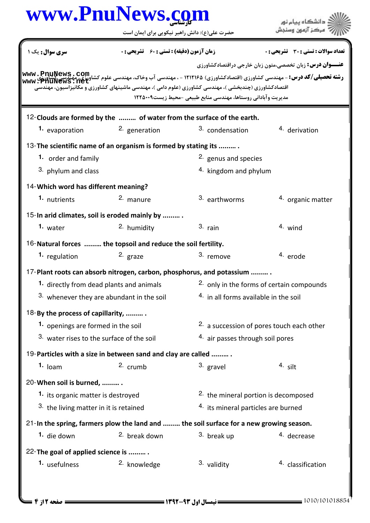## كارشناسي **[www.PnuNews.com](http://www.PnuNews.com)**

حضرت علي(ع): دانش راهبر نيكويي براي ايمان است

**عنــــوان درس:** زبان تخصصي،متون زبان خارجي دراقتصادكشاورزي **رشته تحصیلی/کد درس:** - مهندسی کشاورزی (اقتصادکشاورزی) ۱۲۱۲۱۶۵ - ، مهندسی آب وخاک، مهندسی علوم کشاورزی، مهندسی کشور<br>ر**شته تحصیلی/کد درس:** - مهندسی کشاورزی (اقتصادکشاورزی) ۱۲۱۲۱۶۵ - ، مهندسی آب وخاک، مهندسی علوم کشاورزی، م نعداد سوالات : تستي : 30 - تشريحي : . زمان آزمون (دقيقه) : تستي : 60 - تشريحي : . سري سوال : يک 1 قتصادکشاورزی (چندبخشی )، مهندسی کشاورزی (علوم دامی )، مهندسی ماشینهای کشاورزی و مکانیزاسیون، مهندسی مديريت وآباداني روستاها، مهندسي منابع طبيعي -محيط زيست١٢٢٥٠٠٩ 12-Clouds are formed by the ......... of water from the surface of the earth. **1.** evaporation **2.** generation **2.** 3. condensation **4.** derivation 13- The scientific name of an organism is formed by stating its .......... 2. genus and species  $4.$  kingdom and phylum **1.** order and family 3. phylum and class 14- Which word has different meaning? 1. nutrients 2. manure  $\frac{3}{2}$  earthworms  $\frac{4}{2}$  organic matter <sup>3.</sup> earthworms 15-In arid climates, soil is eroded mainly by .......... 1. water **2.** humidity **1.**  $\frac{3}{2}$  rain **1.** Wind 16-Natural forces ......... the topsoil and reduce the soil fertility. 1. regulation and the state of the state of the state of the state of the state of the state of the state of the state of the state of the state of the state of the state of the state of the state of the state of the state 17-Plant roots can absorb nitrogen, carbon, phosphorus, and potassium ......... .  $2.$  only in the forms of certain compounds <sup>3.</sup> whenever they are abundant in the soil  $1.46$  in all forms available in the soil **1.** directly from dead plants and animals 18-By the process of capillarity, ..........  $2.$  a succession of pores touch each other <sup>3.</sup> water rises to the surface of the soil  $10^{4}$  air passes through soil pores **1.** openings are formed in the soil 19-Particles with a size in between sand and clay are called .......... loam crumb gravel silt **1.**  $\log m$   $\qquad$   $\qquad$   $\qquad$   $\qquad$   $\qquad$   $\qquad$   $\qquad$   $\qquad$   $\qquad$   $\qquad$   $\qquad$   $\qquad$   $\qquad$   $\qquad$   $\qquad$   $\qquad$   $\qquad$   $\qquad$   $\qquad$   $\qquad$   $\qquad$   $\qquad$   $\qquad$   $\qquad$   $\qquad$   $\qquad$   $\qquad$   $\qquad$   $\qquad$   $\qquad$   $\qquad$   $\qquad$   $\qquad$   $\qquad$   $\qquad$  20- When soil is burned, .........  $2.$  the mineral portion is decomposed  $4.$  its mineral particles are burned **1.** its organic matter is destroyed 3. the living matter in it is retained 21-In the spring, farmers plow the land and ......... the soil surface for a new growing season. **1.** die down **break down** and <sup>3.</sup> break up <sup>4.</sup> decrease 22-The goal of applied science is ......... 1. usefulness  $\sim$  2. knowledge  $\sim$  3. validity  $\sim$  4. classification 2. knowledge **[www.PnuNews.net](http://pnunews.net)**

.<br>ڏ دانشڪاه پيام نور<br>\* مرڪز آزمون وسنڊش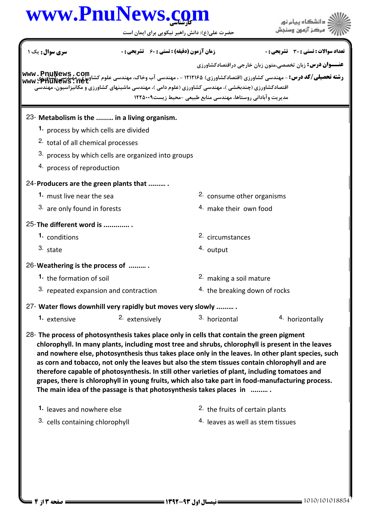## كارشناسي **[www.PnuNews.com](http://www.PnuNews.com)**

حضرت علي(ع): دانش راهبر نيكويي براي ايمان است

| سری سوال: یک ۱                                                                                                                                                    | زمان آزمون (دقيقه) : تستي ; 60 ٪ تشريحي : 0 |                                                               | <b>تعداد سوالات : تستي : 30 ٪ تشريحي : 0</b>                                                                                                                                                                                                                                                                                                                                                                                                                                                                     |  |  |
|-------------------------------------------------------------------------------------------------------------------------------------------------------------------|---------------------------------------------|---------------------------------------------------------------|------------------------------------------------------------------------------------------------------------------------------------------------------------------------------------------------------------------------------------------------------------------------------------------------------------------------------------------------------------------------------------------------------------------------------------------------------------------------------------------------------------------|--|--|
|                                                                                                                                                                   |                                             | مدیریت وآبادانی روستاها، مهندسی منابع طبیعی -محیط زیست۱۲۲۵۰۰۹ | <b>عنـــوان درس:</b> زبان تخصصي،متون زبان خارجي دراقتصادكشاورزي<br><b>رشته تحصیلی/کد درس:</b> - مهندسی کشاورزی (اقتصادکشاورزی) ۱۲۱۲۱۶۵ - ، مهندسی آب وخاک، مهندسی علوم کشا <b>وم کشایت (Artive</b><br>WWW : PhuNews : net                                                                                                                                                                                                                                                                                        |  |  |
| 23- Metabolism is the  in a living organism.                                                                                                                      |                                             |                                                               |                                                                                                                                                                                                                                                                                                                                                                                                                                                                                                                  |  |  |
| 1. process by which cells are divided                                                                                                                             |                                             |                                                               |                                                                                                                                                                                                                                                                                                                                                                                                                                                                                                                  |  |  |
| 2. total of all chemical processes                                                                                                                                |                                             |                                                               |                                                                                                                                                                                                                                                                                                                                                                                                                                                                                                                  |  |  |
| 3. process by which cells are organized into groups                                                                                                               |                                             |                                                               |                                                                                                                                                                                                                                                                                                                                                                                                                                                                                                                  |  |  |
| 4. process of reproduction                                                                                                                                        |                                             |                                                               |                                                                                                                                                                                                                                                                                                                                                                                                                                                                                                                  |  |  |
| 24-Producers are the green plants that                                                                                                                            |                                             |                                                               |                                                                                                                                                                                                                                                                                                                                                                                                                                                                                                                  |  |  |
| 1. must live near the sea                                                                                                                                         |                                             |                                                               | 2. consume other organisms                                                                                                                                                                                                                                                                                                                                                                                                                                                                                       |  |  |
| 3. are only found in forests                                                                                                                                      |                                             |                                                               | 4. make their own food                                                                                                                                                                                                                                                                                                                                                                                                                                                                                           |  |  |
| 25-The different word is                                                                                                                                          |                                             |                                                               |                                                                                                                                                                                                                                                                                                                                                                                                                                                                                                                  |  |  |
| 1. conditions                                                                                                                                                     |                                             |                                                               | 2. circumstances                                                                                                                                                                                                                                                                                                                                                                                                                                                                                                 |  |  |
| 3. state                                                                                                                                                          |                                             | 4. output                                                     |                                                                                                                                                                                                                                                                                                                                                                                                                                                                                                                  |  |  |
| 26-Weathering is the process of                                                                                                                                   |                                             |                                                               |                                                                                                                                                                                                                                                                                                                                                                                                                                                                                                                  |  |  |
| 1. the formation of soil                                                                                                                                          |                                             |                                                               | 2. making a soil mature                                                                                                                                                                                                                                                                                                                                                                                                                                                                                          |  |  |
| 3. repeated expansion and contraction                                                                                                                             |                                             | <sup>4.</sup> the breaking down of rocks                      |                                                                                                                                                                                                                                                                                                                                                                                                                                                                                                                  |  |  |
| 27- Water flows downhill very rapidly but moves very slowly                                                                                                       |                                             |                                                               |                                                                                                                                                                                                                                                                                                                                                                                                                                                                                                                  |  |  |
| 1. extensive                                                                                                                                                      | <sup>2.</sup> extensively                   | 3. horizontal                                                 | 4. horizontally                                                                                                                                                                                                                                                                                                                                                                                                                                                                                                  |  |  |
| 28- The process of photosynthesis takes place only in cells that contain the green pigment<br>The main idea of the passage is that photosynthesis takes places in |                                             |                                                               | chlorophyll. In many plants, including most tree and shrubs, chlorophyll is present in the leaves<br>and nowhere else, photosynthesis thus takes place only in the leaves. In other plant species, such<br>as corn and tobacco, not only the leaves but also the stem tissues contain chlorophyll and are<br>therefore capable of photosynthesis. In still other varieties of plant, including tomatoes and<br>grapes, there is chlorophyll in young fruits, which also take part in food-manufacturing process. |  |  |
| 1. leaves and nowhere else                                                                                                                                        |                                             |                                                               | <sup>2.</sup> the fruits of certain plants                                                                                                                                                                                                                                                                                                                                                                                                                                                                       |  |  |
| 3. cells containing chlorophyll                                                                                                                                   |                                             |                                                               | 4. leaves as well as stem tissues                                                                                                                                                                                                                                                                                                                                                                                                                                                                                |  |  |
|                                                                                                                                                                   |                                             |                                                               |                                                                                                                                                                                                                                                                                                                                                                                                                                                                                                                  |  |  |

ے<br>کا اللہ کا استگاہ پیام نور<br>کا اللہ میکز آزمون وسنجش